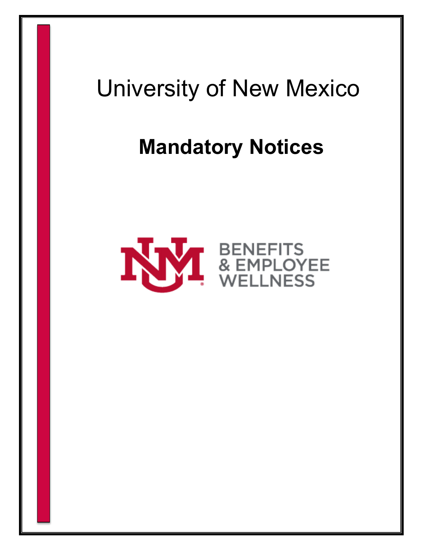# University of New Mexico

# **Mandatory Notices**

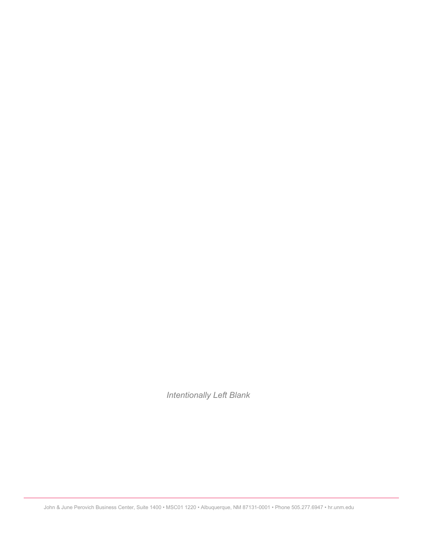*Intentionally Left Blank*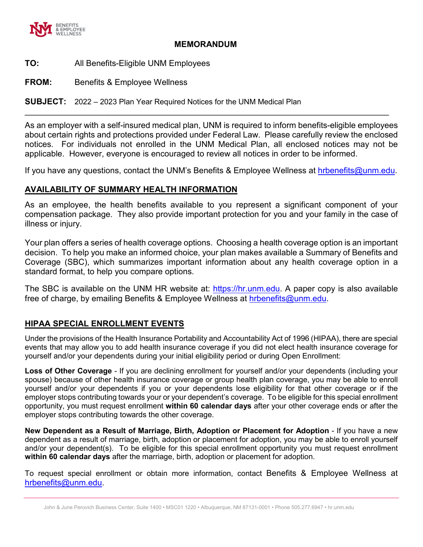

#### **MEMORANDUM**

**TO:** All Benefits-Eligible UNM Employees

**FROM:** Benefits & Employee Wellness

**SUBJECT:** 2022 – 2023 Plan Year Required Notices for the UNM Medical Plan

As an employer with a self-insured medical plan, UNM is required to inform benefits-eligible employees about certain rights and protections provided under Federal Law. Please carefully review the enclosed notices. For individuals not enrolled in the UNM Medical Plan, all enclosed notices may not be applicable. However, everyone is encouraged to review all notices in order to be informed.

\_\_\_\_\_\_\_\_\_\_\_\_\_\_\_\_\_\_\_\_\_\_\_\_\_\_\_\_\_\_\_\_\_\_\_\_\_\_\_\_\_\_\_\_\_\_\_\_\_\_\_\_\_\_\_\_\_\_\_\_\_\_\_\_\_\_\_\_\_\_\_\_\_\_\_\_\_\_\_

If you have any questions, contact the UNM's Benefits & Employee Wellness at [hrbenefits@unm.edu.](mailto:hrbenefits@unm.edu)

#### **AVAILABILITY OF SUMMARY HEALTH INFORMATION**

As an employee, the health benefits available to you represent a significant component of your compensation package. They also provide important protection for you and your family in the case of illness or injury.

Your plan offers a series of health coverage options. Choosing a health coverage option is an important decision. To help you make an informed choice, your plan makes available a Summary of Benefits and Coverage (SBC), which summarizes important information about any health coverage option in a standard format, to help you compare options.

The SBC is available on the UNM HR website at: [https://hr.unm.edu.](https://hr.unm.edu/) A paper copy is also available free of charge, by emailing Benefits & Employee Wellness at [hrbenefits@unm.edu.](mailto:hrbenefits@unm.edu)

#### **HIPAA SPECIAL ENROLLMENT EVENTS**

Under the provisions of the Health Insurance Portability and Accountability Act of 1996 (HIPAA), there are special events that may allow you to add health insurance coverage if you did not elect health insurance coverage for yourself and/or your dependents during your initial eligibility period or during Open Enrollment:

**Loss of Other Coverage** - If you are declining enrollment for yourself and/or your dependents (including your spouse) because of other health insurance coverage or group health plan coverage, you may be able to enroll yourself and/or your dependents if you or your dependents lose eligibility for that other coverage or if the employer stops contributing towards your or your dependent's coverage. To be eligible for this special enrollment opportunity, you must request enrollment **within 60 calendar days** after your other coverage ends or after the employer stops contributing towards the other coverage.

**New Dependent as a Result of Marriage, Birth, Adoption or Placement for Adoption** - If you have a new dependent as a result of marriage, birth, adoption or placement for adoption, you may be able to enroll yourself and/or your dependent(s). To be eligible for this special enrollment opportunity you must request enrollment **within 60 calendar days** after the marriage, birth, adoption or placement for adoption.

To request special enrollment or obtain more information, contact Benefits & Employee Wellness at [hrbenefits@unm.edu.](mailto:hrbenefits@unm.edu)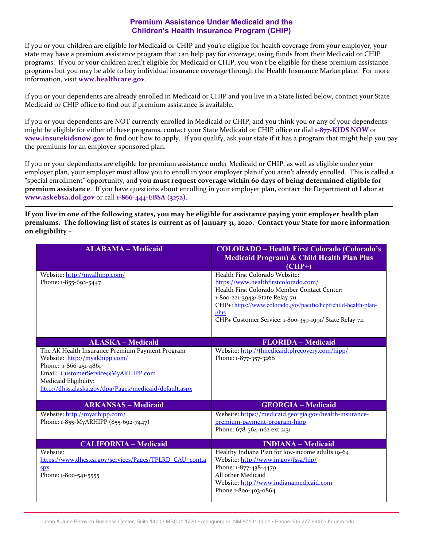#### **Premium Assistance Under Medicaid and the Children's Health Insurance Program (CHIP)**

If you or your children are eligible for Medicaid or CHIP and you're eligible for health coverage from your employer, your state may have a premium assistance program that can help pay for coverage, using funds from their Medicaid or CHIP programs. If you or your children aren't eligible for Medicaid or CHIP, you won't be eligible for these premium assistance programs but you may be able to buy individual insurance coverage through the Health Insurance Marketplace. For more information, visit **[www.healthcare.gov](http://www.healthcare.gov/)**.

If you or your dependents are already enrolled in Medicaid or CHIP and you live in a State listed below, contact your State Medicaid or CHIP office to find out if premium assistance is available.

If you or your dependents are NOT currently enrolled in Medicaid or CHIP, and you think you or any of your dependents might be eligible for either of these programs, contact your State Medicaid or CHIP office or dial **1-877-KIDS NOW** or **[www.insurekidsnow.gov](http://www.insurekidsnow.gov/)** to find out how to apply. If you qualify, ask your state if it has a program that might help you pay the premiums for an employer-sponsored plan.

If you or your dependents are eligible for premium assistance under Medicaid or CHIP, as well as eligible under your employer plan, your employer must allow you to enroll in your employer plan if you aren't already enrolled. This is called a "special enrollment" opportunity, and **you must request coverage within 60 days of being determined eligible for premium assistance**. If you have questions about enrolling in your employer plan, contact the Department of Labor at **[www.askebsa.dol.gov](http://www.askebsa.dol.gov/)** or call **1-866-444-EBSA (3272)**.

**If you live in one of the following states, you may be eligible for assistance paying your employer health plan premiums. The following list of states is current as of January 31, 2020. Contact your State for more information on eligibility –** 

| <b>ALABAMA - Medicaid</b>                                                                                                                                                                                                                                       | <b>COLORADO – Health First Colorado (Colorado's</b><br>Medicaid Program) & Child Health Plan Plus<br>$(CHP+)$                                                                                                                       |
|-----------------------------------------------------------------------------------------------------------------------------------------------------------------------------------------------------------------------------------------------------------------|-------------------------------------------------------------------------------------------------------------------------------------------------------------------------------------------------------------------------------------|
| Website: http://myalhipp.com/<br>Phone: 1-855-692-5447                                                                                                                                                                                                          | Health First Colorado Website:<br>https://www.healthfirstcolorado.com/<br>Health First Colorado Member Contact Center:<br>1-800-221-3943/ State Relay 711<br>CHP+: https://www.colorado.gov/pacific/hcpf/child-health-plan-<br>plus |
|                                                                                                                                                                                                                                                                 | CHP+ Customer Service: 1-800-359-1991/ State Relay 711                                                                                                                                                                              |
| <b>ALASKA - Medicaid</b><br>The AK Health Insurance Premium Payment Program<br>Website: http://myakhipp.com/<br>Phone: 1-866-251-4861<br>Email: CustomerService@MyAKHIPP.com<br>Medicaid Eligibility:<br>http://dhss.alaska.gov/dpa/Pages/medicaid/default.aspx | <b>FLORIDA - Medicaid</b><br>Website: http://flmedicaidtplrecovery.com/hipp/<br>Phone: 1-877-357-3268                                                                                                                               |
| <b>ARKANSAS - Medicaid</b>                                                                                                                                                                                                                                      | <b>GEORGIA</b> - Medicaid                                                                                                                                                                                                           |
| Website: http://myarhipp.com/<br>Phone: 1-855-MyARHIPP (855-692-7447)                                                                                                                                                                                           | Website: https://medicaid.georgia.gov/health-insurance-<br>premium-payment-program-hipp<br>Phone: 678-564-1162 ext 2131                                                                                                             |
| <b>CALIFORNIA - Medicaid</b>                                                                                                                                                                                                                                    | <b>INDIANA</b> – Medicaid                                                                                                                                                                                                           |
| Website:<br>https://www.dhcs.ca.gov/services/Pages/TPLRD CAU cont.a<br><b>SDX</b><br>Phone: 1-800-541-5555                                                                                                                                                      | Healthy Indiana Plan for low-income adults 19-64<br>Website: http://www.in.gov/fssa/hip/<br>Phone: 1-877-438-4479<br>All other Medicaid<br>Website: http://www.indianamedicaid.com<br>Phone 1-800-403-0864                          |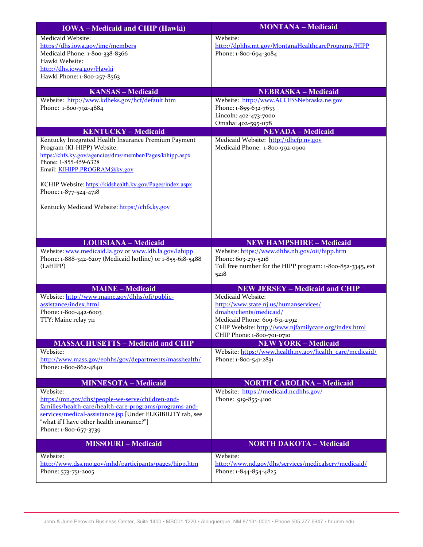| <b>IOWA</b> – Medicaid and CHIP (Hawki)                                                                             | <b>MONTANA - Medicaid</b>                                                          |
|---------------------------------------------------------------------------------------------------------------------|------------------------------------------------------------------------------------|
| Medicaid Website:                                                                                                   | Website:                                                                           |
| https://dhs.iowa.gov/ime/members                                                                                    | http://dphhs.mt.gov/MontanaHealthcarePrograms/HIPP                                 |
| Medicaid Phone: 1-800-338-8366                                                                                      | Phone: 1-800-694-3084                                                              |
| Hawki Website:<br>http://dhs.iowa.gov/Hawki                                                                         |                                                                                    |
| Hawki Phone: 1-800-257-8563                                                                                         |                                                                                    |
|                                                                                                                     |                                                                                    |
| <b>KANSAS - Medicaid</b>                                                                                            | <b>NEBRASKA - Medicaid</b>                                                         |
| Website: http://www.kdheks.gov/hcf/default.htm<br>Phone: 1-800-792-4884                                             | Website: http://www.ACCESSNebraska.ne.gov                                          |
|                                                                                                                     | Phone: 1-855-632-7633<br>Lincoln: 402-473-7000                                     |
|                                                                                                                     | Omaha: 402-595-1178                                                                |
| <b>KENTUCKY - Medicaid</b>                                                                                          | <b>NEVADA - Medicaid</b>                                                           |
| Kentucky Integrated Health Insurance Premium Payment                                                                | Medicaid Website: http://dhcfp.nv.gov                                              |
| Program (KI-HIPP) Website:                                                                                          | Medicaid Phone: 1-800-992-0900                                                     |
| https://chfs.ky.gov/agencies/dms/member/Pages/kihipp.aspx<br>Phone: 1-855-459-6328                                  |                                                                                    |
| Email: KIHIPP.PROGRAM@ky.gov                                                                                        |                                                                                    |
|                                                                                                                     |                                                                                    |
| KCHIP Website: https://kidshealth.ky.gov/Pages/index.aspx<br>Phone: 1-877-524-4718                                  |                                                                                    |
|                                                                                                                     |                                                                                    |
| Kentucky Medicaid Website: https://chfs.ky.gov                                                                      |                                                                                    |
|                                                                                                                     |                                                                                    |
|                                                                                                                     |                                                                                    |
|                                                                                                                     |                                                                                    |
| <b>LOUISIANA - Medicaid</b>                                                                                         | <b>NEW HAMPSHIRE - Medicaid</b>                                                    |
| Website: www.medicaid.la.gov or www.ldh.la.gov/lahipp<br>Phone: 1-888-342-6207 (Medicaid hotline) or 1-855-618-5488 | Website: https://www.dhhs.nh.gov/oii/hipp.htm<br>Phone: 603-271-5218               |
| (LaHIPP)                                                                                                            | Toll free number for the HIPP program: 1-800-852-3345, ext                         |
|                                                                                                                     | 5218                                                                               |
|                                                                                                                     |                                                                                    |
| <b>MAINE - Medicaid</b><br>Website: http://www.maine.gov/dhhs/ofi/public-                                           | <b>NEW JERSEY - Medicaid and CHIP</b><br>Medicaid Website:                         |
| assistance/index.html                                                                                               | http://www.state.nj.us/humanservices/                                              |
| Phone: 1-800-442-6003                                                                                               | dmahs/clients/medicaid/                                                            |
| TTY: Maine relay 711                                                                                                | Medicaid Phone: 609-631-2392                                                       |
|                                                                                                                     | CHIP Website: http://www.njfamilycare.org/index.html<br>CHIP Phone: 1-800-701-0710 |
| <b>MASSACHUSETTS - Medicaid and CHIP</b>                                                                            | <b>NEW YORK - Medicaid</b>                                                         |
| Website:                                                                                                            | Website: https://www.health.ny.gov/health_care/medicaid/                           |
| http://www.mass.gov/eohhs/gov/departments/masshealth/                                                               | Phone: 1-800-541-2831                                                              |
| Phone: 1-800-862-4840                                                                                               |                                                                                    |
| <b>MINNESOTA - Medicaid</b>                                                                                         | <b>NORTH CAROLINA - Medicaid</b>                                                   |
| Website:                                                                                                            | Website: https://medicaid.ncdhhs.gov/                                              |
| https://mn.gov/dhs/people-we-serve/children-and-                                                                    | Phone: 919-855-4100                                                                |
| families/health-care/health-care-programs/programs-and-                                                             |                                                                                    |
| services/medical-assistance.jsp [Under ELIGIBILITY tab, see                                                         |                                                                                    |
| "what if I have other health insurance?"]<br>Phone: 1-800-657-3739                                                  |                                                                                    |
|                                                                                                                     |                                                                                    |
| <b>MISSOURI - Medicaid</b>                                                                                          | <b>NORTH DAKOTA - Medicaid</b>                                                     |
| Website:                                                                                                            | Website:                                                                           |
| http://www.dss.mo.gov/mhd/participants/pages/hipp.htm                                                               | http://www.nd.gov/dhs/services/medicalserv/medicaid/                               |
| Phone: 573-751-2005                                                                                                 | Phone: 1-844-854-4825                                                              |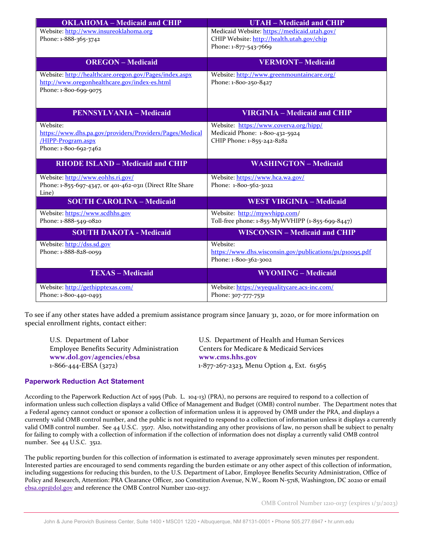| <b>OKLAHOMA - Medicaid and CHIP</b>                                | <b>UTAH - Medicaid and CHIP</b>                                     |
|--------------------------------------------------------------------|---------------------------------------------------------------------|
| Website: http://www.insureoklahoma.org                             | Medicaid Website: https://medicaid.utah.gov/                        |
| Phone: 1-888-365-3742                                              | CHIP Website: http://health.utah.gov/chip                           |
|                                                                    | Phone: 1-877-543-7669                                               |
| <b>OREGON</b> – Medicaid                                           | <b>VERMONT-Medicaid</b>                                             |
| Website: http://healthcare.oregon.gov/Pages/index.aspx             | Website: http://www.greenmountaincare.org/                          |
| http://www.oregonhealthcare.gov/index-es.html                      | Phone: 1-800-250-8427                                               |
| Phone: 1-800-699-9075                                              |                                                                     |
|                                                                    |                                                                     |
| <b>PENNSYLVANIA - Medicaid</b>                                     | <b>VIRGINIA - Medicaid and CHIP</b>                                 |
| Website:                                                           | Website: https://www.coverva.org/hipp/                              |
| https://www.dhs.pa.gov/providers/Providers/Pages/Medical           | Medicaid Phone: 1-800-432-5924                                      |
| /HIPP-Program.aspx                                                 | CHIP Phone: 1-855-242-8282                                          |
| Phone: 1-800-692-7462                                              |                                                                     |
|                                                                    |                                                                     |
| <b>RHODE ISLAND - Medicaid and CHIP</b>                            | <b>WASHINGTON - Medicaid</b>                                        |
| Website: http://www.eohhs.ri.gov/                                  | Website: https://www.hca.wa.gov/                                    |
| Phone: 1-855-697-4347, or 401-462-0311 (Direct RIte Share<br>Line) | Phone: 1-800-562-3022                                               |
| <b>SOUTH CAROLINA - Medicaid</b>                                   | <b>WEST VIRGINIA - Medicaid</b>                                     |
| Website: https://www.scdhhs.gov                                    | Website: http://mywvhipp.com/                                       |
| Phone: 1-888-549-0820                                              | Toll-free phone: 1-855-MyWVHIPP (1-855-699-8447)                    |
| <b>SOUTH DAKOTA - Medicaid</b>                                     | <b>WISCONSIN - Medicaid and CHIP</b>                                |
| Website: http://dss.sd.gov                                         | Website:                                                            |
| Phone: 1-888-828-0059                                              | https://www.dhs.wisconsin.gov/publications/p1/p10095.pdf            |
|                                                                    | Phone: 1-800-362-3002                                               |
| <b>TEXAS - Medicaid</b>                                            | <b>WYOMING - Medicaid</b>                                           |
| Website: http://gethipptexas.com/                                  | Website: https://wyequalitycare.acs-inc.com/<br>Phone: 307-777-7531 |

To see if any other states have added a premium assistance program since January 31, 2020, or for more information on special enrollment rights, contact either:

| U.S. Department of Labor                         | U.S. Department of Health and Human Services |
|--------------------------------------------------|----------------------------------------------|
| <b>Employee Benefits Security Administration</b> | Centers for Medicare & Medicaid Services     |
| www.dol.gov/agencies/ebsa                        | www.cms.hhs.gov                              |
| $1-866-444-EBSA(3272)$                           | 1-877-267-2323, Menu Option 4, Ext. 61565    |

#### **Paperwork Reduction Act Statement**

According to the Paperwork Reduction Act of 1995 (Pub. L. 104-13) (PRA), no persons are required to respond to a collection of information unless such collection displays a valid Office of Management and Budget (OMB) control number. The Department notes that a Federal agency cannot conduct or sponsor a collection of information unless it is approved by OMB under the PRA, and displays a currently valid OMB control number, and the public is not required to respond to a collection of information unless it displays a currently valid OMB control number. See 44 U.S.C. 3507. Also, notwithstanding any other provisions of law, no person shall be subject to penalty for failing to comply with a collection of information if the collection of information does not display a currently valid OMB control number. See 44 U.S.C. 3512.

The public reporting burden for this collection of information is estimated to average approximately seven minutes per respondent. Interested parties are encouraged to send comments regarding the burden estimate or any other aspect of this collection of information, including suggestions for reducing this burden, to the U.S. Department of Labor, Employee Benefits Security Administration, Office of Policy and Research, Attention: PRA Clearance Officer, 200 Constitution Avenue, N.W., Room N-5718, Washington, DC 20210 or email [ebsa.opr@dol.gov](mailto:ebsa.opr@dol.gov) and reference the OMB Control Number 1210-0137.

OMB Control Number 1210-0137 (expires 1/31/2023)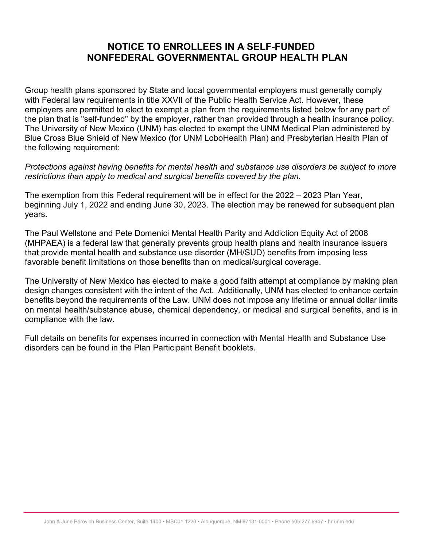## **NOTICE TO ENROLLEES IN A SELF-FUNDED NONFEDERAL GOVERNMENTAL GROUP HEALTH PLAN**

Group health plans sponsored by State and local governmental employers must generally comply with Federal law requirements in title XXVII of the Public Health Service Act. However, these employers are permitted to elect to exempt a plan from the requirements listed below for any part of the plan that is "self-funded" by the employer, rather than provided through a health insurance policy. The University of New Mexico (UNM) has elected to exempt the UNM Medical Plan administered by Blue Cross Blue Shield of New Mexico (for UNM LoboHealth Plan) and Presbyterian Health Plan of the following requirement:

*Protections against having benefits for mental health and substance use disorders be subject to more restrictions than apply to medical and surgical benefits covered by the plan.*

The exemption from this Federal requirement will be in effect for the 2022 – 2023 Plan Year, beginning July 1, 2022 and ending June 30, 2023. The election may be renewed for subsequent plan years.

The Paul Wellstone and Pete Domenici Mental Health Parity and Addiction Equity Act of 2008 (MHPAEA) is a federal law that generally prevents group health plans and health insurance issuers that provide mental health and substance use disorder (MH/SUD) benefits from imposing less favorable benefit limitations on those benefits than on medical/surgical coverage.

The University of New Mexico has elected to make a good faith attempt at compliance by making plan design changes consistent with the intent of the Act. Additionally, UNM has elected to enhance certain benefits beyond the requirements of the Law. UNM does not impose any lifetime or annual dollar limits on mental health/substance abuse, chemical dependency, or medical and surgical benefits, and is in compliance with the law.

Full details on benefits for expenses incurred in connection with Mental Health and Substance Use disorders can be found in the Plan Participant Benefit booklets.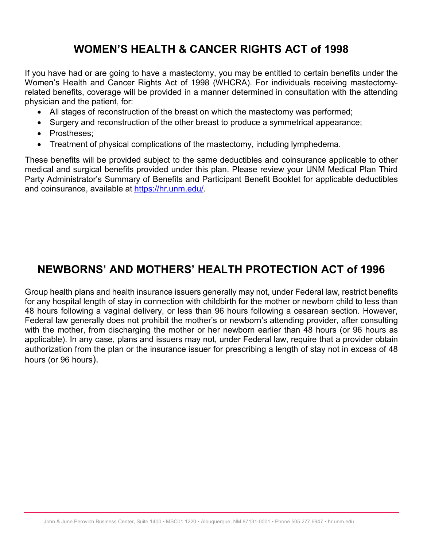# **WOMEN'S HEALTH & CANCER RIGHTS ACT of 1998**

If you have had or are going to have a mastectomy, you may be entitled to certain benefits under the Women's Health and Cancer Rights Act of 1998 (WHCRA). For individuals receiving mastectomyrelated benefits, coverage will be provided in a manner determined in consultation with the attending physician and the patient, for:

- All stages of reconstruction of the breast on which the mastectomy was performed;
- Surgery and reconstruction of the other breast to produce a symmetrical appearance;
- Prostheses:
- Treatment of physical complications of the mastectomy, including lymphedema.

These benefits will be provided subject to the same deductibles and coinsurance applicable to other medical and surgical benefits provided under this plan. Please review your UNM Medical Plan Third Party Administrator's Summary of Benefits and Participant Benefit Booklet for applicable deductibles and coinsurance, available at [https://hr.unm.edu/.](https://hr.unm.edu/)

# **NEWBORNS' AND MOTHERS' HEALTH PROTECTION ACT of 1996**

Group health plans and health insurance issuers generally may not, under Federal law, restrict benefits for any hospital length of stay in connection with childbirth for the mother or newborn child to less than 48 hours following a vaginal delivery, or less than 96 hours following a cesarean section. However, Federal law generally does not prohibit the mother's or newborn's attending provider, after consulting with the mother, from discharging the mother or her newborn earlier than 48 hours (or 96 hours as applicable). In any case, plans and issuers may not, under Federal law, require that a provider obtain authorization from the plan or the insurance issuer for prescribing a length of stay not in excess of 48 hours (or 96 hours).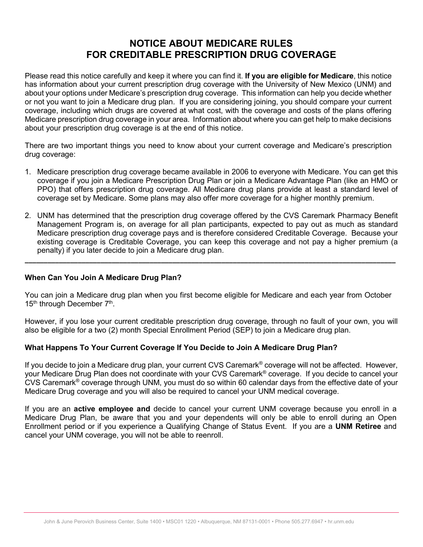### **NOTICE ABOUT MEDICARE RULES FOR CREDITABLE PRESCRIPTION DRUG COVERAGE**

Please read this notice carefully and keep it where you can find it. **If you are eligible for Medicare**, this notice has information about your current prescription drug coverage with the University of New Mexico (UNM) and about your options under Medicare's prescription drug coverage. This information can help you decide whether or not you want to join a Medicare drug plan. If you are considering joining, you should compare your current coverage, including which drugs are covered at what cost, with the coverage and costs of the plans offering Medicare prescription drug coverage in your area. Information about where you can get help to make decisions about your prescription drug coverage is at the end of this notice.

There are two important things you need to know about your current coverage and Medicare's prescription drug coverage:

- 1. Medicare prescription drug coverage became available in 2006 to everyone with Medicare. You can get this coverage if you join a Medicare Prescription Drug Plan or join a Medicare Advantage Plan (like an HMO or PPO) that offers prescription drug coverage. All Medicare drug plans provide at least a standard level of coverage set by Medicare. Some plans may also offer more coverage for a higher monthly premium.
- 2. UNM has determined that the prescription drug coverage offered by the CVS Caremark Pharmacy Benefit Management Program is, on average for all plan participants, expected to pay out as much as standard Medicare prescription drug coverage pays and is therefore considered Creditable Coverage. Because your existing coverage is Creditable Coverage, you can keep this coverage and not pay a higher premium (a penalty) if you later decide to join a Medicare drug plan.

**\_\_\_\_\_\_\_\_\_\_\_\_\_\_\_\_\_\_\_\_\_\_\_\_\_\_\_\_\_\_\_\_\_\_\_\_\_\_\_\_\_\_\_\_\_\_\_\_\_\_\_\_\_\_\_\_\_\_\_\_\_\_\_\_\_\_\_\_\_\_\_\_\_\_\_\_\_\_\_\_\_\_\_\_\_\_\_\_\_\_\_\_\_\_\_\_\_\_**

#### **When Can You Join A Medicare Drug Plan?**

You can join a Medicare drug plan when you first become eligible for Medicare and each year from October 15<sup>th</sup> through December 7<sup>th</sup>.

However, if you lose your current creditable prescription drug coverage, through no fault of your own, you will also be eligible for a two (2) month Special Enrollment Period (SEP) to join a Medicare drug plan.

#### **What Happens To Your Current Coverage If You Decide to Join A Medicare Drug Plan?**

If you decide to join a Medicare drug plan, your current CVS Caremark® coverage will not be affected. However, your Medicare Drug Plan does not coordinate with your CVS Caremark® coverage. If you decide to cancel your CVS Caremark® coverage through UNM, you must do so within 60 calendar days from the effective date of your Medicare Drug coverage and you will also be required to cancel your UNM medical coverage.

If you are an **active employee and** decide to cancel your current UNM coverage because you enroll in a Medicare Drug Plan, be aware that you and your dependents will only be able to enroll during an Open Enrollment period or if you experience a Qualifying Change of Status Event. If you are a **UNM Retiree** and cancel your UNM coverage, you will not be able to reenroll.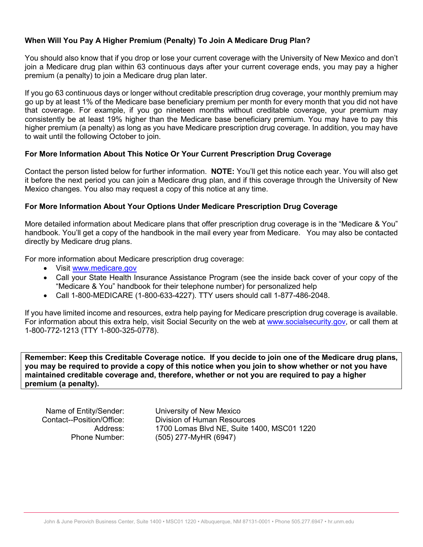#### **When Will You Pay A Higher Premium (Penalty) To Join A Medicare Drug Plan?**

You should also know that if you drop or lose your current coverage with the University of New Mexico and don't join a Medicare drug plan within 63 continuous days after your current coverage ends, you may pay a higher premium (a penalty) to join a Medicare drug plan later.

If you go 63 continuous days or longer without creditable prescription drug coverage, your monthly premium may go up by at least 1% of the Medicare base beneficiary premium per month for every month that you did not have that coverage. For example, if you go nineteen months without creditable coverage, your premium may consistently be at least 19% higher than the Medicare base beneficiary premium. You may have to pay this higher premium (a penalty) as long as you have Medicare prescription drug coverage. In addition, you may have to wait until the following October to join.

#### **For More Information About This Notice Or Your Current Prescription Drug Coverage**

Contact the person listed below for further information. **NOTE:** You'll get this notice each year. You will also get it before the next period you can join a Medicare drug plan, and if this coverage through the University of New Mexico changes. You also may request a copy of this notice at any time.

#### **For More Information About Your Options Under Medicare Prescription Drug Coverage**

More detailed information about Medicare plans that offer prescription drug coverage is in the "Medicare & You" handbook. You'll get a copy of the handbook in the mail every year from Medicare. You may also be contacted directly by Medicare drug plans.

For more information about Medicare prescription drug coverage:

- Visit [www.medicare.gov](http://www.medicare.gov/)
- Call your State Health Insurance Assistance Program (see the inside back cover of your copy of the "Medicare & You" handbook for their telephone number) for personalized help
- Call 1-800-MEDICARE (1-800-633-4227). TTY users should call 1-877-486-2048.

If you have limited income and resources, extra help paying for Medicare prescription drug coverage is available. For information about this extra help, visit Social Security on the web at [www.socialsecurity.gov,](http://www.socialsecurity.gov/) or call them at 1-800-772-1213 (TTY 1-800-325-0778).

**Remember: Keep this Creditable Coverage notice. If you decide to join one of the Medicare drug plans, you may be required to provide a copy of this notice when you join to show whether or not you have maintained creditable coverage and, therefore, whether or not you are required to pay a higher premium (a penalty).** 

Name of Entity/Sender: University of New Mexico Contact--Position/Office: Division of Human Resources Address: 1700 Lomas Blvd NE, Suite 1400, MSC01 1220 Phone Number: (505) 277-MyHR (6947)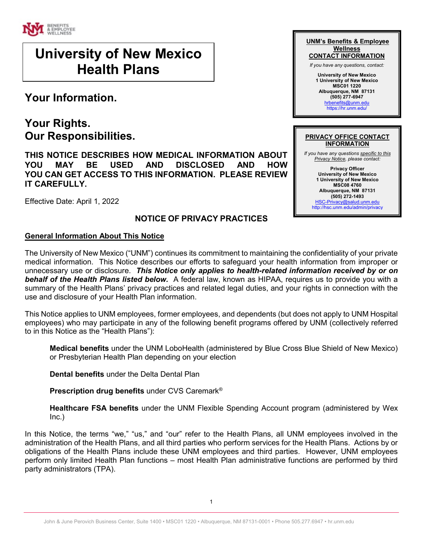

# **University of New Mexico Health Plans**

**Your Information.** 

# **Your Rights. Our Responsibilities.**

**THIS NOTICE DESCRIBES HOW MEDICAL INFORMATION ABOUT YOU MAY BE USED AND DISCLOSED AND HOW YOU CAN GET ACCESS TO THIS INFORMATION. PLEASE REVIEW IT CAREFULLY.**

Effective Date: April 1, 2022

#### **NOTICE OF PRIVACY PRACTICES**

#### **General Information About This Notice**

The University of New Mexico ("UNM") continues its commitment to maintaining the confidentiality of your private medical information. This Notice describes our efforts to safeguard your health information from improper or unnecessary use or disclosure. *This Notice only applies to health-related information received by or on behalf of the Health Plans listed below.* A federal law, known as HIPAA, requires us to provide you with a summary of the Health Plans' privacy practices and related legal duties, and your rights in connection with the use and disclosure of your Health Plan information.

This Notice applies to UNM employees, former employees, and dependents (but does not apply to UNM Hospital employees) who may participate in any of the following benefit programs offered by UNM (collectively referred to in this Notice as the "Health Plans"):

**Medical benefits** under the UNM LoboHealth (administered by Blue Cross Blue Shield of New Mexico) or Presbyterian Health Plan depending on your election

**Dental benefits** under the Delta Dental Plan

**Prescription drug benefits** under CVS Caremark®

**Healthcare FSA benefits** under the UNM Flexible Spending Account program (administered by Wex Inc.)

In this Notice, the terms "we," "us," and "our" refer to the Health Plans, all UNM employees involved in the administration of the Health Plans, and all third parties who perform services for the Health Plans. Actions by or obligations of the Health Plans include these UNM employees and third parties. However, UNM employees perform only limited Health Plan functions – most Health Plan administrative functions are performed by third party administrators (TPA).

**CONTACT INFORMATION** *If you have any questions, contact:* **University of New Mexico 1 University of New Mexico MSC01 1220 Albuquerque, NM 87131 (505) 277-6947** [hrbenefits@unm.edu](mailto:hrbenefits@unm.edu)<https://hr.unm.edu/> **PRIVACY OFFICE CONTACT INFORMATION** *If you have any questions specific to this Privacy Notice, please contact:*

**UNM's Benefits & Employee Wellness**

**Privacy Officer University of New Mexico 1 University of New Mexico MSC08 4760 Albuquerque, NM 87131 (505) 272-1493** [HSC-Privacy@salud.unm.edu](mailto:HSC-Privacy@salud.unm.edu) <http://hsc.unm.edu/admin/privacy>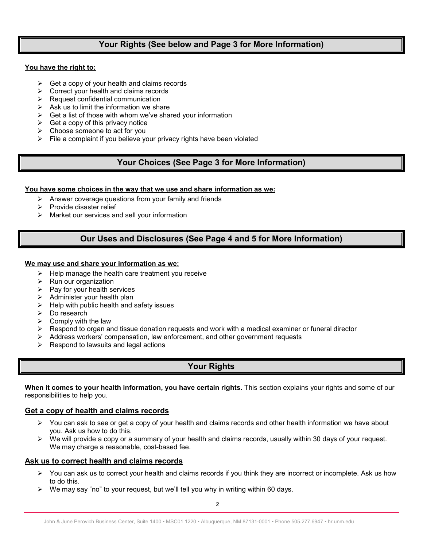#### **Your Rights (See below and Page 3 for More Information)**

#### **You have the right to:**

- $\triangleright$  Get a copy of your health and claims records
- $\triangleright$  Correct your health and claims records
- $\triangleright$  Request confidential communication
- $\triangleright$  Ask us to limit the information we share
- $\triangleright$  Get a list of those with whom we've shared your information
- $\triangleright$  Get a copy of this privacy notice
- Choose someone to act for you
- $\triangleright$  File a complaint if you believe your privacy rights have been violated

#### **Your Choices (See Page 3 for More Information)**

#### **You have some choices in the way that we use and share information as we:**

- $\triangleright$  Answer coverage questions from your family and friends
- $\triangleright$  Provide disaster relief
- $\triangleright$  Market our services and sell your information

#### **Our Uses and Disclosures (See Page 4 and 5 for More Information)**

#### **We may use and share your information as we:**

- $\triangleright$  Help manage the health care treatment you receive
- $\triangleright$  Run our organization
- $\triangleright$  Pay for your health services
- $\triangleright$  Administer your health plan
- $\triangleright$  Help with public health and safety issues
- Do research
- $\triangleright$  Comply with the law
- $\triangleright$  Respond to organ and tissue donation requests and work with a medical examiner or funeral director
- $\triangleright$  Address workers' compensation, law enforcement, and other government requests
- $\triangleright$  Respond to lawsuits and legal actions

### **Your Rights**

**When it comes to your health information, you have certain rights.** This section explains your rights and some of our responsibilities to help you.

#### **Get a copy of health and claims records**

- $\triangleright$  You can ask to see or get a copy of your health and claims records and other health information we have about you. Ask us how to do this.
- $\triangleright$  We will provide a copy or a summary of your health and claims records, usually within 30 days of your request. We may charge a reasonable, cost-based fee.

#### **Ask us to correct health and claims records**

- $\triangleright$  You can ask us to correct your health and claims records if you think they are incorrect or incomplete. Ask us how to do this.
- $\triangleright$  We may say "no" to your request, but we'll tell you why in writing within 60 days.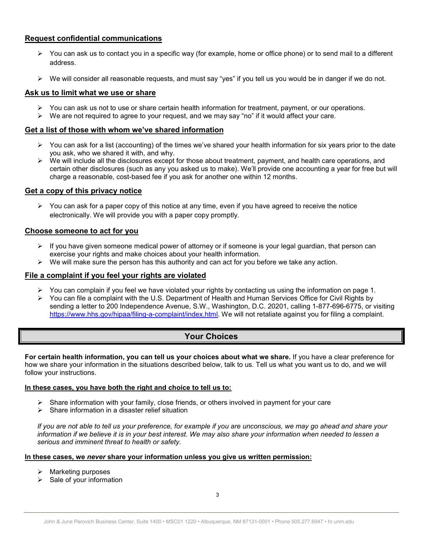#### **Request confidential communications**

- $\triangleright$  You can ask us to contact you in a specific way (for example, home or office phone) or to send mail to a different address.
- $\triangleright$  We will consider all reasonable requests, and must say "yes" if you tell us you would be in danger if we do not.

#### **Ask us to limit what we use or share**

- You can ask us not to use or share certain health information for treatment, payment, or our operations.
- $\triangleright$  We are not required to agree to your request, and we may say "no" if it would affect your care.

#### **Get a list of those with whom we've shared information**

- $\triangleright$  You can ask for a list (accounting) of the times we've shared your health information for six years prior to the date you ask, who we shared it with, and why.
- $\triangleright$  We will include all the disclosures except for those about treatment, payment, and health care operations, and certain other disclosures (such as any you asked us to make). We'll provide one accounting a year for free but will charge a reasonable, cost-based fee if you ask for another one within 12 months.

#### **Get a copy of this privacy notice**

 $\triangleright$  You can ask for a paper copy of this notice at any time, even if you have agreed to receive the notice electronically. We will provide you with a paper copy promptly.

#### **Choose someone to act for you**

- $\triangleright$  If you have given someone medical power of attorney or if someone is your legal guardian, that person can exercise your rights and make choices about your health information.
- $\triangleright$  We will make sure the person has this authority and can act for you before we take any action.

#### **File a complaint if you feel your rights are violated**

- You can complain if you feel we have violated your rights by contacting us using the information on page 1.
- $\triangleright$  You can file a complaint with the U.S. Department of Health and Human Services Office for Civil Rights by sending a letter to 200 Independence Avenue, S.W., Washington, D.C. 20201, calling 1-877-696-6775, or visiting [https://www.hhs.gov/hipaa/filing-a-complaint/index.html.](https://www.hhs.gov/hipaa/filing-a-complaint/index.html) We will not retaliate against you for filing a complaint.

#### **Your Choices**

**For certain health information, you can tell us your choices about what we share.** If you have a clear preference for how we share your information in the situations described below, talk to us. Tell us what you want us to do, and we will follow your instructions.

#### **In these cases, you have both the right and choice to tell us to:**

- $\triangleright$  Share information with your family, close friends, or others involved in payment for your care
- $\triangleright$  Share information in a disaster relief situation

*If you are not able to tell us your preference, for example if you are unconscious, we may go ahead and share your*  information if we believe it is in your best interest. We may also share your information when needed to lessen a *serious and imminent threat to health or safety.*

#### **In these cases, we** *never* **share your information unless you give us written permission:**

- $\triangleright$  Marketing purposes
- $\triangleright$  Sale of your information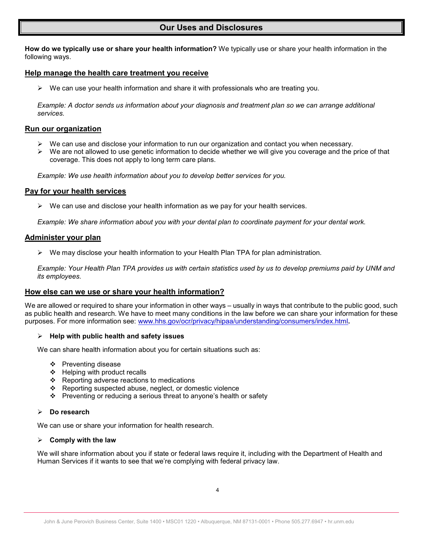#### **Our Uses and Disclosures**

**How do we typically use or share your health information?** We typically use or share your health information in the following ways.

#### **Help manage the health care treatment you receive**

 $\triangleright$  We can use your health information and share it with professionals who are treating you.

*Example: A doctor sends us information about your diagnosis and treatment plan so we can arrange additional services.*

#### **Run our organization**

- $\triangleright$  We can use and disclose your information to run our organization and contact you when necessary.
- $\triangleright$  We are not allowed to use genetic information to decide whether we will give you coverage and the price of that coverage. This does not apply to long term care plans.

*Example: We use health information about you to develop better services for you.*

#### **Pay for your health services**

 $\triangleright$  We can use and disclose your health information as we pay for your health services.

*Example: We share information about you with your dental plan to coordinate payment for your dental work.*

#### **Administer your plan**

 $\triangleright$  We may disclose your health information to your Health Plan TPA for plan administration.

*Example: Your Health Plan TPA provides us with certain statistics used by us to develop premiums paid by UNM and its employees.*

#### **How else can we use or share your health information?**

We are allowed or required to share your information in other ways – usually in ways that contribute to the public good, such as public health and research. We have to meet many conditions in the law before we can share your information for these purposes. For more information see: [www.hhs.gov/ocr/privacy/hipaa/understanding/consumers/index.html](http://www.hhs.gov/ocr/privacy/hipaa/understanding/consumers/index.html)**.** 

#### **Help with public health and safety issues**

We can share health information about you for certain situations such as:

- ❖ Preventing disease
- ❖ Helping with product recalls
- $\div$  Reporting adverse reactions to medications
- Reporting suspected abuse, neglect, or domestic violence
- Preventing or reducing a serious threat to anyone's health or safety

#### **Do research**

We can use or share your information for health research.

#### **Comply with the law**

We will share information about you if state or federal laws require it, including with the Department of Health and Human Services if it wants to see that we're complying with federal privacy law.